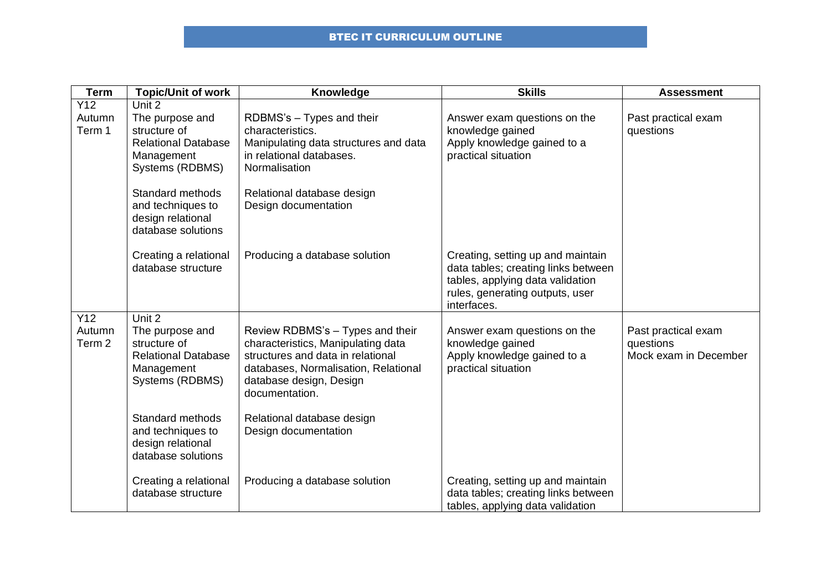## BTEC IT CURRICULUM OUTLINE

| <b>Term</b>                        | <b>Topic/Unit of work</b>                                                                                                                                                                    | Knowledge                                                                                                                                                                                                                                              | <b>Skills</b>                                                                                                                                                  | <b>Assessment</b>                                         |
|------------------------------------|----------------------------------------------------------------------------------------------------------------------------------------------------------------------------------------------|--------------------------------------------------------------------------------------------------------------------------------------------------------------------------------------------------------------------------------------------------------|----------------------------------------------------------------------------------------------------------------------------------------------------------------|-----------------------------------------------------------|
| Y12<br>Autumn<br>Term 1            | Unit 2<br>The purpose and<br>structure of<br><b>Relational Database</b><br>Management<br>Systems (RDBMS)<br>Standard methods<br>and techniques to<br>design relational<br>database solutions | RDBMS's - Types and their<br>characteristics.<br>Manipulating data structures and data<br>in relational databases.<br>Normalisation<br>Relational database design<br>Design documentation                                                              | Answer exam questions on the<br>knowledge gained<br>Apply knowledge gained to a<br>practical situation                                                         | Past practical exam<br>questions                          |
|                                    | Creating a relational<br>database structure                                                                                                                                                  | Producing a database solution                                                                                                                                                                                                                          | Creating, setting up and maintain<br>data tables; creating links between<br>tables, applying data validation<br>rules, generating outputs, user<br>interfaces. |                                                           |
| Y12<br>Autumn<br>Term <sub>2</sub> | Unit 2<br>The purpose and<br>structure of<br><b>Relational Database</b><br>Management<br>Systems (RDBMS)<br>Standard methods<br>and techniques to<br>design relational                       | Review RDBMS's - Types and their<br>characteristics, Manipulating data<br>structures and data in relational<br>databases, Normalisation, Relational<br>database design, Design<br>documentation.<br>Relational database design<br>Design documentation | Answer exam questions on the<br>knowledge gained<br>Apply knowledge gained to a<br>practical situation                                                         | Past practical exam<br>questions<br>Mock exam in December |
|                                    | database solutions<br>Creating a relational<br>database structure                                                                                                                            | Producing a database solution                                                                                                                                                                                                                          | Creating, setting up and maintain<br>data tables; creating links between<br>tables, applying data validation                                                   |                                                           |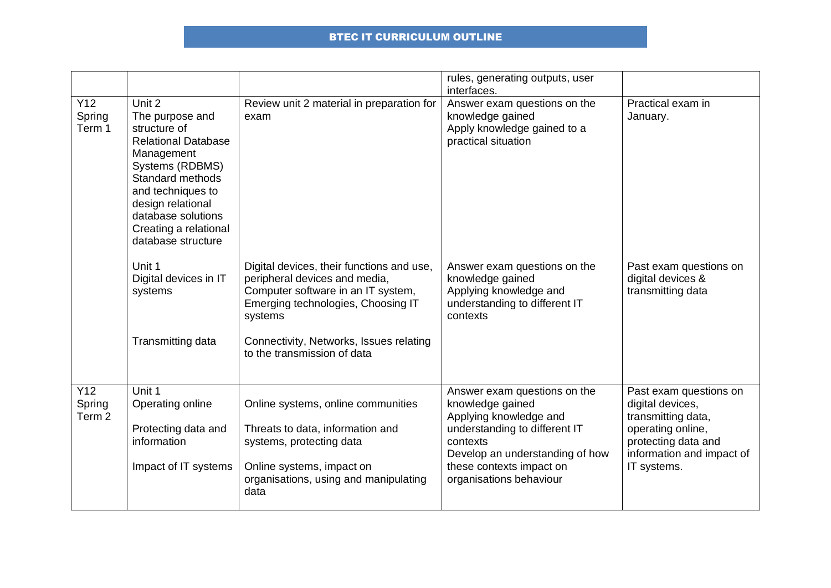## BTEC IT CURRICULUM OUTLINE

|                                    |                                                                                                                                                                                                                                             |                                                                                                                                                                                                                                             | rules, generating outputs, user<br>interfaces.                                                                                                                                                                    |                                                                                                                                                          |
|------------------------------------|---------------------------------------------------------------------------------------------------------------------------------------------------------------------------------------------------------------------------------------------|---------------------------------------------------------------------------------------------------------------------------------------------------------------------------------------------------------------------------------------------|-------------------------------------------------------------------------------------------------------------------------------------------------------------------------------------------------------------------|----------------------------------------------------------------------------------------------------------------------------------------------------------|
| Y12<br>Spring<br>Term 1            | Unit 2<br>The purpose and<br>structure of<br><b>Relational Database</b><br>Management<br>Systems (RDBMS)<br>Standard methods<br>and techniques to<br>design relational<br>database solutions<br>Creating a relational<br>database structure | Review unit 2 material in preparation for<br>exam                                                                                                                                                                                           | Answer exam questions on the<br>knowledge gained<br>Apply knowledge gained to a<br>practical situation                                                                                                            | Practical exam in<br>January.                                                                                                                            |
|                                    | Unit 1<br>Digital devices in IT<br>systems<br>Transmitting data                                                                                                                                                                             | Digital devices, their functions and use,<br>peripheral devices and media,<br>Computer software in an IT system,<br>Emerging technologies, Choosing IT<br>systems<br>Connectivity, Networks, Issues relating<br>to the transmission of data | Answer exam questions on the<br>knowledge gained<br>Applying knowledge and<br>understanding to different IT<br>contexts                                                                                           | Past exam questions on<br>digital devices &<br>transmitting data                                                                                         |
|                                    |                                                                                                                                                                                                                                             |                                                                                                                                                                                                                                             |                                                                                                                                                                                                                   |                                                                                                                                                          |
| Y12<br>Spring<br>Term <sub>2</sub> | Unit 1<br>Operating online<br>Protecting data and<br>information<br>Impact of IT systems                                                                                                                                                    | Online systems, online communities<br>Threats to data, information and<br>systems, protecting data<br>Online systems, impact on<br>organisations, using and manipulating<br>data                                                            | Answer exam questions on the<br>knowledge gained<br>Applying knowledge and<br>understanding to different IT<br>contexts<br>Develop an understanding of how<br>these contexts impact on<br>organisations behaviour | Past exam questions on<br>digital devices,<br>transmitting data,<br>operating online,<br>protecting data and<br>information and impact of<br>IT systems. |